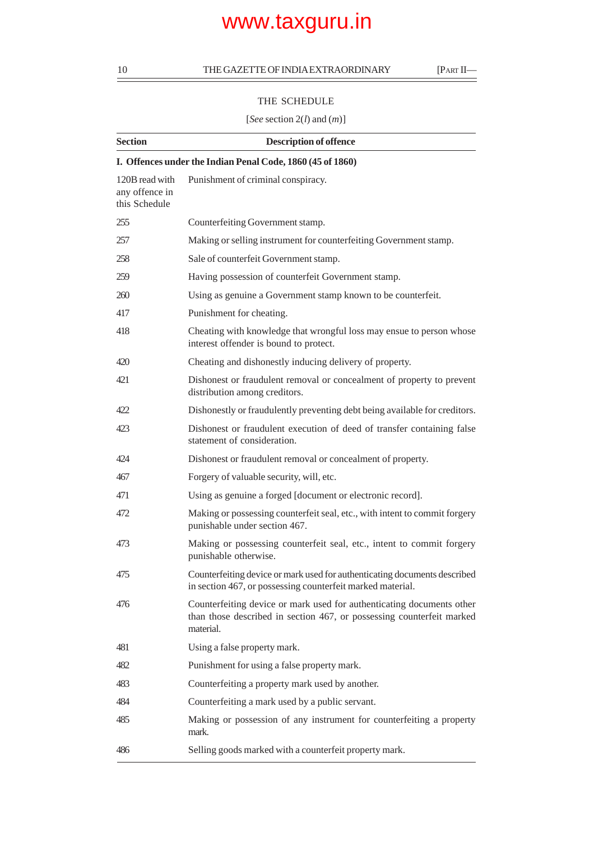### THE SCHEDULE

### [*See* section 2(*l*) and (*m*)]

| <b>Section</b>                                             | <b>Description of offence</b>                                                                                                                               |  |  |  |  |  |
|------------------------------------------------------------|-------------------------------------------------------------------------------------------------------------------------------------------------------------|--|--|--|--|--|
| I. Offences under the Indian Penal Code, 1860 (45 of 1860) |                                                                                                                                                             |  |  |  |  |  |
| 120B read with<br>any offence in<br>this Schedule          | Punishment of criminal conspiracy.                                                                                                                          |  |  |  |  |  |
| 255                                                        | Counterfeiting Government stamp.                                                                                                                            |  |  |  |  |  |
| 257                                                        | Making or selling instrument for counterfeiting Government stamp.                                                                                           |  |  |  |  |  |
| 258                                                        | Sale of counterfeit Government stamp.                                                                                                                       |  |  |  |  |  |
| 259                                                        | Having possession of counterfeit Government stamp.                                                                                                          |  |  |  |  |  |
| 260                                                        | Using as genuine a Government stamp known to be counterfeit.                                                                                                |  |  |  |  |  |
| 417                                                        | Punishment for cheating.                                                                                                                                    |  |  |  |  |  |
| 418                                                        | Cheating with knowledge that wrongful loss may ensue to person whose<br>interest offender is bound to protect.                                              |  |  |  |  |  |
| 420                                                        | Cheating and dishonestly inducing delivery of property.                                                                                                     |  |  |  |  |  |
| 421                                                        | Dishonest or fraudulent removal or concealment of property to prevent<br>distribution among creditors.                                                      |  |  |  |  |  |
| 422                                                        | Dishonestly or fraudulently preventing debt being available for creditors.                                                                                  |  |  |  |  |  |
| 423                                                        | Dishonest or fraudulent execution of deed of transfer containing false<br>statement of consideration.                                                       |  |  |  |  |  |
| 424                                                        | Dishonest or fraudulent removal or concealment of property.                                                                                                 |  |  |  |  |  |
| 467                                                        | Forgery of valuable security, will, etc.                                                                                                                    |  |  |  |  |  |
| 471                                                        | Using as genuine a forged [document or electronic record].                                                                                                  |  |  |  |  |  |
| 472                                                        | Making or possessing counterfeit seal, etc., with intent to commit forgery<br>punishable under section 467.                                                 |  |  |  |  |  |
| 473                                                        | Making or possessing counterfeit seal, etc., intent to commit forgery<br>punishable otherwise.                                                              |  |  |  |  |  |
| 475                                                        | Counterfeiting device or mark used for authenticating documents described<br>in section 467, or possessing counterfeit marked material.                     |  |  |  |  |  |
| 476                                                        | Counterfeiting device or mark used for authenticating documents other<br>than those described in section 467, or possessing counterfeit marked<br>material. |  |  |  |  |  |
| 481                                                        | Using a false property mark.                                                                                                                                |  |  |  |  |  |
| 482                                                        | Punishment for using a false property mark.                                                                                                                 |  |  |  |  |  |
| 483                                                        | Counterfeiting a property mark used by another.                                                                                                             |  |  |  |  |  |
| 484                                                        | Counterfeiting a mark used by a public servant.                                                                                                             |  |  |  |  |  |
| 485                                                        | Making or possession of any instrument for counterfeiting a property<br>mark.                                                                               |  |  |  |  |  |
| 486                                                        | Selling goods marked with a counterfeit property mark.                                                                                                      |  |  |  |  |  |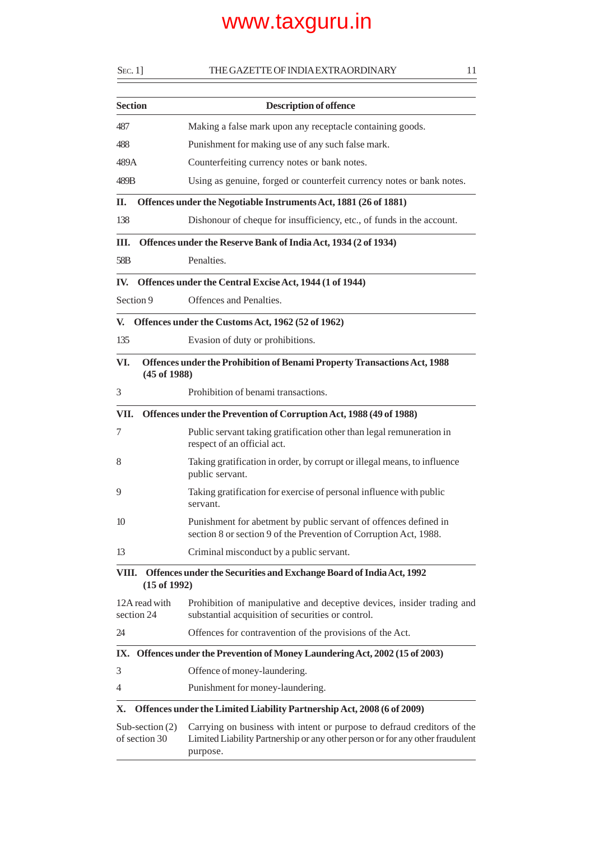| $S_{EC}$ . 1]  |                                    | THE GAZETTE OF INDIA EXTRAORDINARY                                                                                                                                   | 11 |  |
|----------------|------------------------------------|----------------------------------------------------------------------------------------------------------------------------------------------------------------------|----|--|
| <b>Section</b> |                                    | <b>Description of offence</b>                                                                                                                                        |    |  |
| 487            |                                    | Making a false mark upon any receptacle containing goods.                                                                                                            |    |  |
| 488            |                                    | Punishment for making use of any such false mark.                                                                                                                    |    |  |
| 489A           |                                    | Counterfeiting currency notes or bank notes.                                                                                                                         |    |  |
| 489B           |                                    | Using as genuine, forged or counterfeit currency notes or bank notes.                                                                                                |    |  |
| П.             |                                    | Offences under the Negotiable Instruments Act, 1881 (26 of 1881)                                                                                                     |    |  |
| 138            |                                    | Dishonour of cheque for insufficiency, etc., of funds in the account.                                                                                                |    |  |
| Ш.             |                                    | Offences under the Reserve Bank of India Act, 1934 (2 of 1934)                                                                                                       |    |  |
| 58B            |                                    | Penalties.                                                                                                                                                           |    |  |
| IV.            |                                    | Offences under the Central Excise Act, 1944 (1 of 1944)                                                                                                              |    |  |
| Section 9      |                                    | Offences and Penalties.                                                                                                                                              |    |  |
| V.             |                                    | Offences under the Customs Act, 1962 (52 of 1962)                                                                                                                    |    |  |
| 135            |                                    | Evasion of duty or prohibitions.                                                                                                                                     |    |  |
| VI.            | $(45$ of $1988)$                   | Offences under the Prohibition of Benami Property Transactions Act, 1988                                                                                             |    |  |
| 3              |                                    | Prohibition of benami transactions.                                                                                                                                  |    |  |
| VII.           |                                    | Offences under the Prevention of Corruption Act, 1988 (49 of 1988)                                                                                                   |    |  |
| 7              |                                    | Public servant taking gratification other than legal remuneration in<br>respect of an official act.                                                                  |    |  |
| 8              |                                    | Taking gratification in order, by corrupt or illegal means, to influence<br>public servant.                                                                          |    |  |
| 9              |                                    | Taking gratification for exercise of personal influence with public<br>servant.                                                                                      |    |  |
| 10             |                                    | Punishment for abetment by public servant of offences defined in<br>section 8 or section 9 of the Prevention of Corruption Act, 1988.                                |    |  |
| 13             |                                    | Criminal misconduct by a public servant.                                                                                                                             |    |  |
| VIII.          | $(15$ of 1992)                     | Offences under the Securities and Exchange Board of India Act, 1992                                                                                                  |    |  |
|                | 12A read with<br>section 24        | Prohibition of manipulative and deceptive devices, insider trading and<br>substantial acquisition of securities or control.                                          |    |  |
| 24             |                                    | Offences for contravention of the provisions of the Act.                                                                                                             |    |  |
|                |                                    | IX. Offences under the Prevention of Money Laundering Act, 2002 (15 of 2003)                                                                                         |    |  |
| 3              |                                    | Offence of money-laundering.                                                                                                                                         |    |  |
| 4              |                                    | Punishment for money-laundering.                                                                                                                                     |    |  |
| Х.             |                                    | Offences under the Limited Liability Partnership Act, 2008 (6 of 2009)                                                                                               |    |  |
|                | Sub-section $(2)$<br>of section 30 | Carrying on business with intent or purpose to defraud creditors of the<br>Limited Liability Partnership or any other person or for any other fraudulent<br>purpose. |    |  |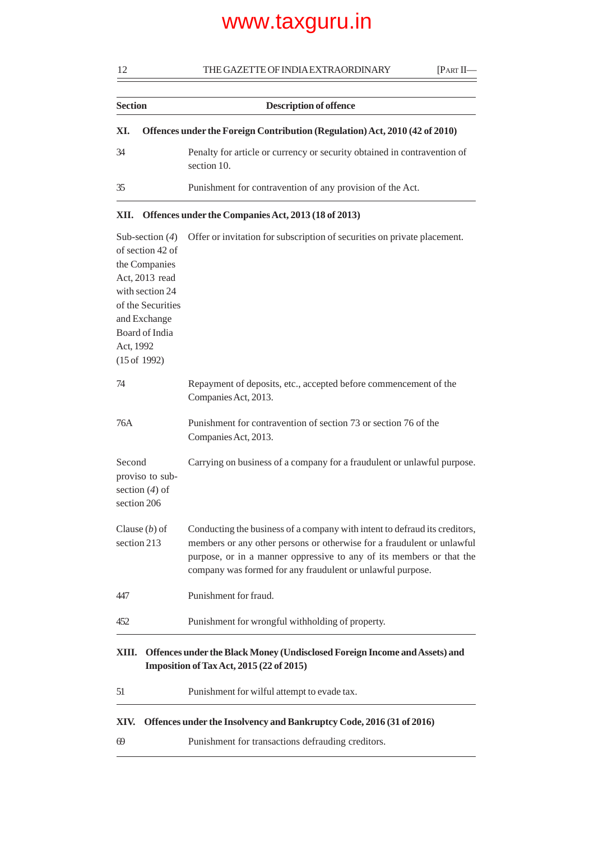12 THE GAZETTE OF INDIA EXTRAORDINARY [PART II—

| <b>Section</b> | <b>Description of offence</b>                                                           |  |
|----------------|-----------------------------------------------------------------------------------------|--|
| XI.            | Offences under the Foreign Contribution (Regulation) Act, 2010 (42 of 2010)             |  |
| 34             | Penalty for article or currency or security obtained in contravention of<br>section 10. |  |
| 35             | Punishment for contravention of any provision of the Act.                               |  |

### **XII. Offences under the Companies Act, 2013 (18 of 2013)**

| Sub-section $(4)$                   | Offer or invitation for subscription of securities on private placement.                                                           |  |  |
|-------------------------------------|------------------------------------------------------------------------------------------------------------------------------------|--|--|
| of section 42 of<br>the Companies   |                                                                                                                                    |  |  |
| Act, 2013 read                      |                                                                                                                                    |  |  |
| with section 24                     |                                                                                                                                    |  |  |
| of the Securities                   |                                                                                                                                    |  |  |
| and Exchange                        |                                                                                                                                    |  |  |
| Board of India                      |                                                                                                                                    |  |  |
| Act, 1992<br>$(15$ of 1992)         |                                                                                                                                    |  |  |
|                                     |                                                                                                                                    |  |  |
| 74                                  | Repayment of deposits, etc., accepted before commencement of the                                                                   |  |  |
|                                     | Companies Act, 2013.                                                                                                               |  |  |
| 76A                                 | Punishment for contravention of section 73 or section 76 of the                                                                    |  |  |
|                                     | Companies Act, 2013.                                                                                                               |  |  |
|                                     |                                                                                                                                    |  |  |
| Second                              | Carrying on business of a company for a fraudulent or unlawful purpose.                                                            |  |  |
| proviso to sub-<br>section $(4)$ of |                                                                                                                                    |  |  |
| section 206                         |                                                                                                                                    |  |  |
|                                     |                                                                                                                                    |  |  |
| Clause $(b)$ of                     | Conducting the business of a company with intent to defraud its creditors,                                                         |  |  |
| section 213                         | members or any other persons or otherwise for a fraudulent or unlawful                                                             |  |  |
|                                     | purpose, or in a manner oppressive to any of its members or that the<br>company was formed for any fraudulent or unlawful purpose. |  |  |
|                                     |                                                                                                                                    |  |  |
| 447                                 | Punishment for fraud.                                                                                                              |  |  |
| 452                                 | Punishment for wrongful withholding of property.                                                                                   |  |  |
|                                     |                                                                                                                                    |  |  |
| XIII.                               | Offences under the Black Money (Undisclosed Foreign Income and Assets) and                                                         |  |  |
|                                     | Imposition of Tax Act, 2015 (22 of 2015)                                                                                           |  |  |
| 51                                  | Punishment for wilful attempt to evade tax.                                                                                        |  |  |
| XIV.                                | Offences under the Insolvency and Bankruptcy Code, 2016 (31 of 2016)                                                               |  |  |
| 69                                  | Punishment for transactions defrauding creditors.                                                                                  |  |  |
|                                     |                                                                                                                                    |  |  |

 $\equiv$